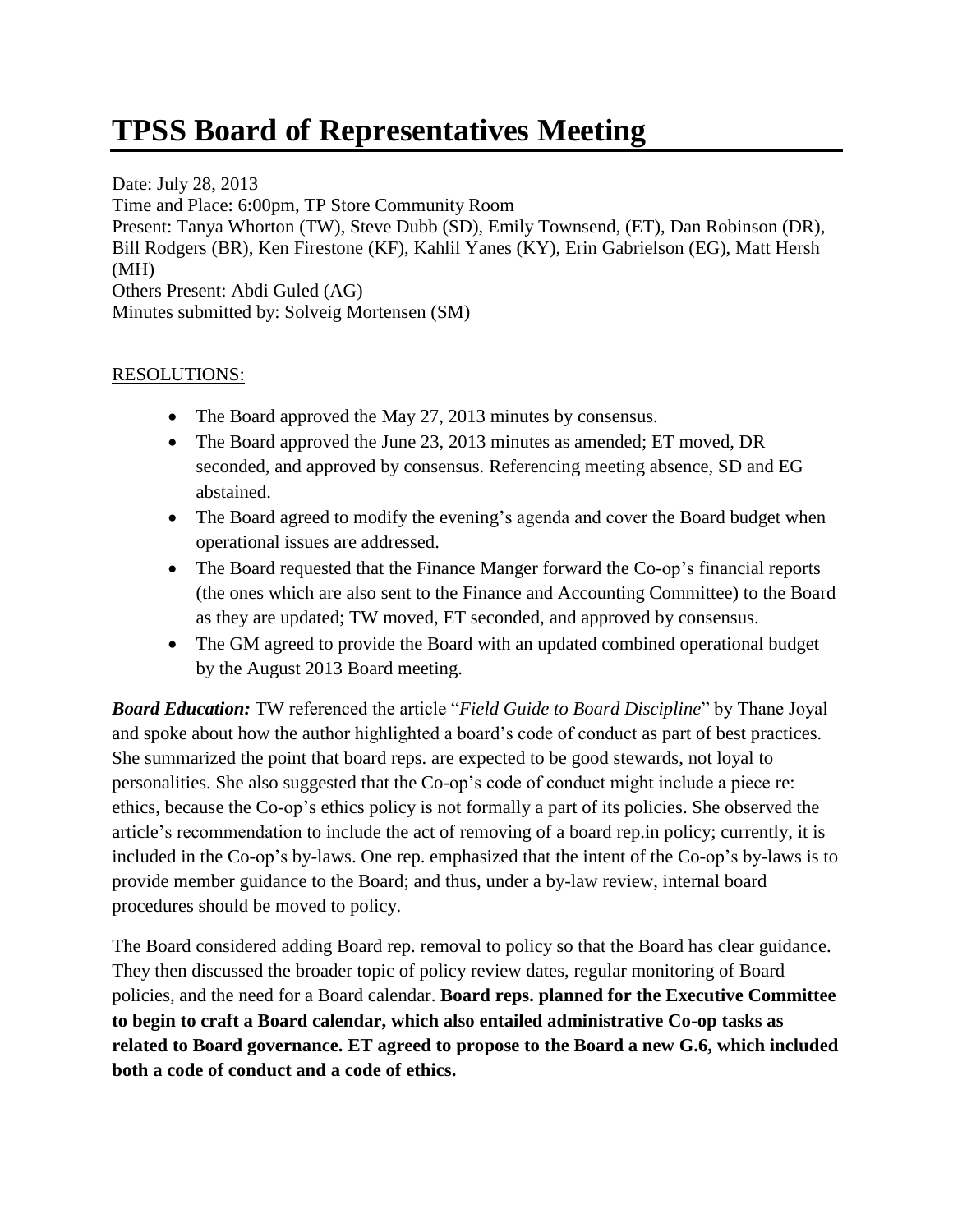## **TPSS Board of Representatives Meeting**

Date: July 28, 2013 Time and Place: 6:00pm, TP Store Community Room Present: Tanya Whorton (TW), Steve Dubb (SD), Emily Townsend, (ET), Dan Robinson (DR), Bill Rodgers (BR), Ken Firestone (KF), Kahlil Yanes (KY), Erin Gabrielson (EG), Matt Hersh (MH) Others Present: Abdi Guled (AG) Minutes submitted by: Solveig Mortensen (SM)

## RESOLUTIONS:

- The Board approved the May 27, 2013 minutes by consensus.
- The Board approved the June 23, 2013 minutes as amended; ET moved, DR seconded, and approved by consensus. Referencing meeting absence, SD and EG abstained.
- The Board agreed to modify the evening's agenda and cover the Board budget when operational issues are addressed.
- The Board requested that the Finance Manger forward the Co-op's financial reports (the ones which are also sent to the Finance and Accounting Committee) to the Board as they are updated; TW moved, ET seconded, and approved by consensus.
- The GM agreed to provide the Board with an updated combined operational budget by the August 2013 Board meeting.

*Board Education:* TW referenced the article "*Field Guide to Board Discipline*" by Thane Joyal and spoke about how the author highlighted a board's code of conduct as part of best practices. She summarized the point that board reps. are expected to be good stewards, not loyal to personalities. She also suggested that the Co-op's code of conduct might include a piece re: ethics, because the Co-op's ethics policy is not formally a part of its policies. She observed the article's recommendation to include the act of removing of a board rep.in policy; currently, it is included in the Co-op's by-laws. One rep. emphasized that the intent of the Co-op's by-laws is to provide member guidance to the Board; and thus, under a by-law review, internal board procedures should be moved to policy.

The Board considered adding Board rep. removal to policy so that the Board has clear guidance. They then discussed the broader topic of policy review dates, regular monitoring of Board policies, and the need for a Board calendar. **Board reps. planned for the Executive Committee to begin to craft a Board calendar, which also entailed administrative Co-op tasks as related to Board governance. ET agreed to propose to the Board a new G.6, which included both a code of conduct and a code of ethics.**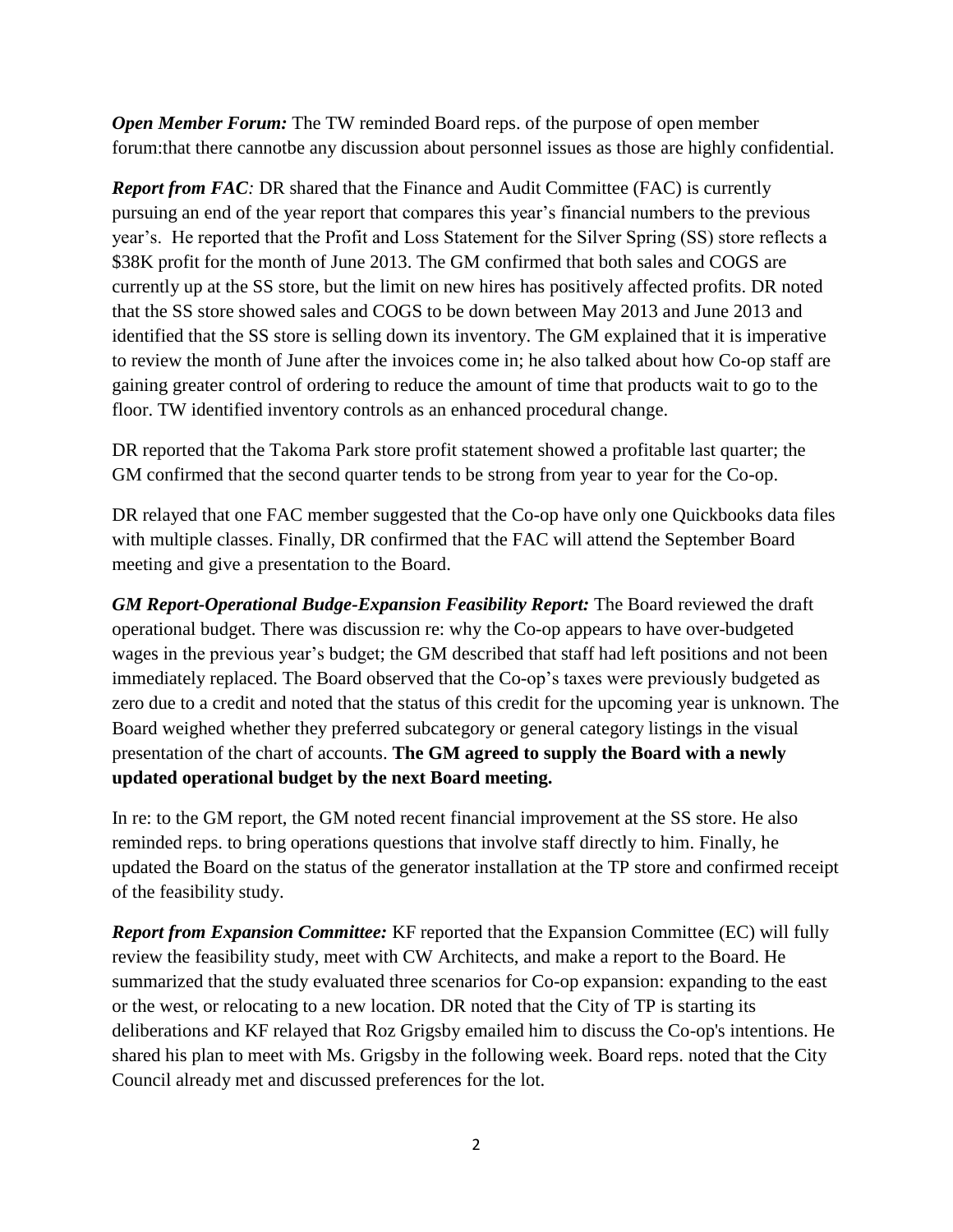*Open Member Forum:* The TW reminded Board reps. of the purpose of open member forum:that there cannotbe any discussion about personnel issues as those are highly confidential.

*Report from FAC*: DR shared that the Finance and Audit Committee (FAC) is currently pursuing an end of the year report that compares this year's financial numbers to the previous year's. He reported that the Profit and Loss Statement for the Silver Spring (SS) store reflects a \$38K profit for the month of June 2013. The GM confirmed that both sales and COGS are currently up at the SS store, but the limit on new hires has positively affected profits. DR noted that the SS store showed sales and COGS to be down between May 2013 and June 2013 and identified that the SS store is selling down its inventory. The GM explained that it is imperative to review the month of June after the invoices come in; he also talked about how Co-op staff are gaining greater control of ordering to reduce the amount of time that products wait to go to the floor. TW identified inventory controls as an enhanced procedural change.

DR reported that the Takoma Park store profit statement showed a profitable last quarter; the GM confirmed that the second quarter tends to be strong from year to year for the Co-op.

DR relayed that one FAC member suggested that the Co-op have only one Quickbooks data files with multiple classes. Finally, DR confirmed that the FAC will attend the September Board meeting and give a presentation to the Board.

*GM Report-Operational Budge-Expansion Feasibility Report:* The Board reviewed the draft operational budget. There was discussion re: why the Co-op appears to have over-budgeted wages in the previous year's budget; the GM described that staff had left positions and not been immediately replaced. The Board observed that the Co-op's taxes were previously budgeted as zero due to a credit and noted that the status of this credit for the upcoming year is unknown. The Board weighed whether they preferred subcategory or general category listings in the visual presentation of the chart of accounts. **The GM agreed to supply the Board with a newly updated operational budget by the next Board meeting.**

In re: to the GM report, the GM noted recent financial improvement at the SS store. He also reminded reps. to bring operations questions that involve staff directly to him. Finally, he updated the Board on the status of the generator installation at the TP store and confirmed receipt of the feasibility study.

*Report from Expansion Committee:* KF reported that the Expansion Committee (EC) will fully review the feasibility study, meet with CW Architects, and make a report to the Board. He summarized that the study evaluated three scenarios for Co-op expansion: expanding to the east or the west, or relocating to a new location. DR noted that the City of TP is starting its deliberations and KF relayed that Roz Grigsby emailed him to discuss the Co-op's intentions. He shared his plan to meet with Ms. Grigsby in the following week. Board reps. noted that the City Council already met and discussed preferences for the lot.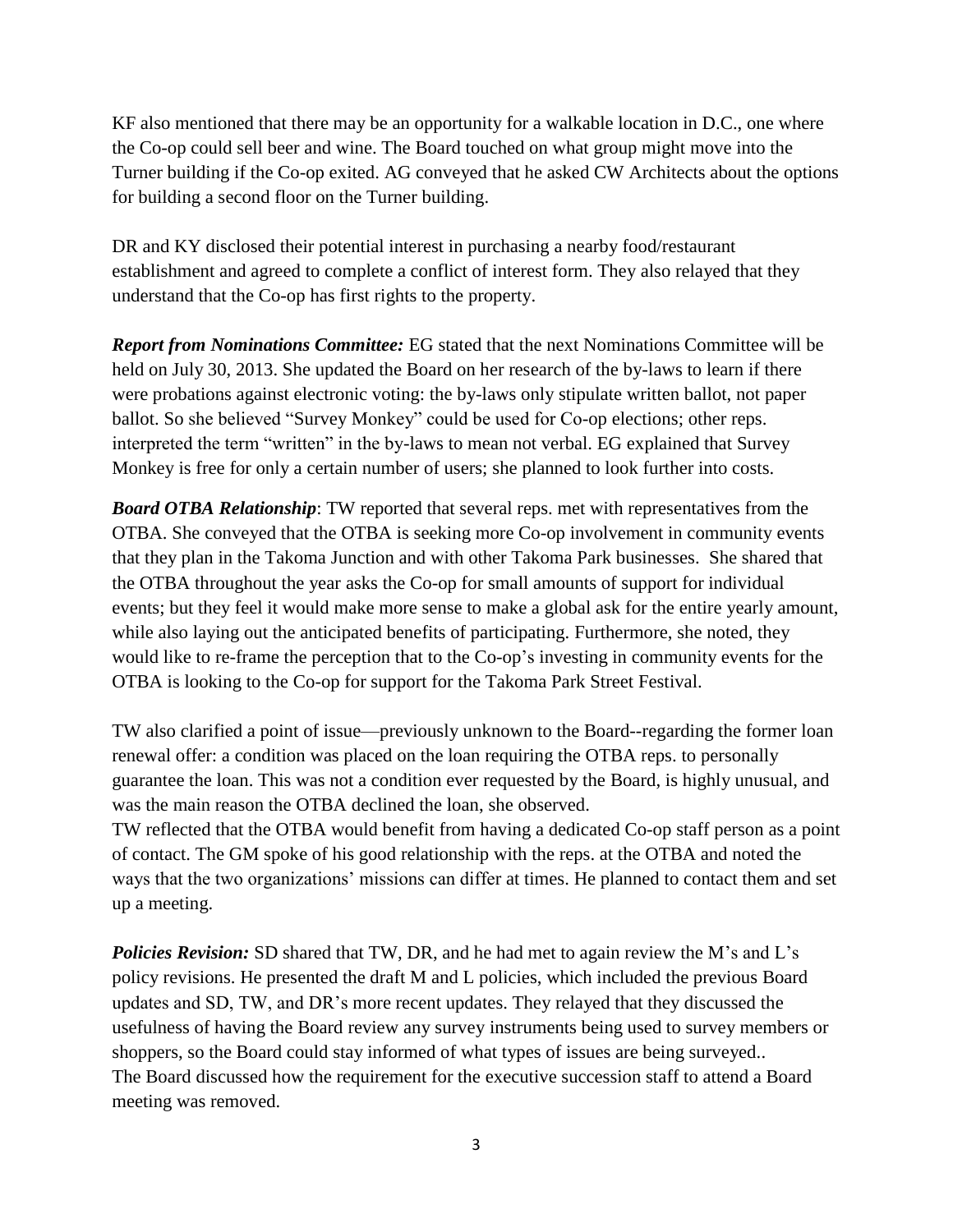KF also mentioned that there may be an opportunity for a walkable location in D.C., one where the Co-op could sell beer and wine. The Board touched on what group might move into the Turner building if the Co-op exited. AG conveyed that he asked CW Architects about the options for building a second floor on the Turner building.

DR and KY disclosed their potential interest in purchasing a nearby food/restaurant establishment and agreed to complete a conflict of interest form. They also relayed that they understand that the Co-op has first rights to the property.

*Report from Nominations Committee:* EG stated that the next Nominations Committee will be held on July 30, 2013. She updated the Board on her research of the by-laws to learn if there were probations against electronic voting: the by-laws only stipulate written ballot, not paper ballot. So she believed "Survey Monkey" could be used for Co-op elections; other reps. interpreted the term "written" in the by-laws to mean not verbal. EG explained that Survey Monkey is free for only a certain number of users; she planned to look further into costs.

*Board OTBA Relationship*: TW reported that several reps. met with representatives from the OTBA. She conveyed that the OTBA is seeking more Co-op involvement in community events that they plan in the Takoma Junction and with other Takoma Park businesses. She shared that the OTBA throughout the year asks the Co-op for small amounts of support for individual events; but they feel it would make more sense to make a global ask for the entire yearly amount, while also laying out the anticipated benefits of participating. Furthermore, she noted, they would like to re-frame the perception that to the Co-op's investing in community events for the OTBA is looking to the Co-op for support for the Takoma Park Street Festival.

TW also clarified a point of issue—previously unknown to the Board--regarding the former loan renewal offer: a condition was placed on the loan requiring the OTBA reps. to personally guarantee the loan. This was not a condition ever requested by the Board, is highly unusual, and was the main reason the OTBA declined the loan, she observed. TW reflected that the OTBA would benefit from having a dedicated Co-op staff person as a point of contact. The GM spoke of his good relationship with the reps. at the OTBA and noted the ways that the two organizations' missions can differ at times. He planned to contact them and set up a meeting.

*Policies Revision:* SD shared that TW, DR, and he had met to again review the M's and L's policy revisions. He presented the draft M and L policies, which included the previous Board updates and SD, TW, and DR's more recent updates. They relayed that they discussed the usefulness of having the Board review any survey instruments being used to survey members or shoppers, so the Board could stay informed of what types of issues are being surveyed.. The Board discussed how the requirement for the executive succession staff to attend a Board meeting was removed.